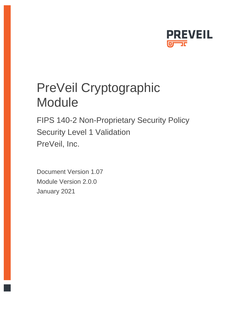

FIPS 140-2 Non-Proprietary Security Policy Security Level 1 Validation PreVeil, Inc.

Document Version 1.07 Module Version 2.0.0 January 2021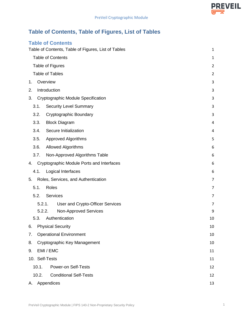# **Table of Contents, Table of Figures, List of Tables**

# **Table of Contents**

|       |                        | Table of Contents, Table of Figures, List of Tables | 1              |
|-------|------------------------|-----------------------------------------------------|----------------|
|       |                        | <b>Table of Contents</b>                            | 1              |
|       | Table of Figures       |                                                     | $\overline{2}$ |
|       | <b>Table of Tables</b> |                                                     | $\overline{2}$ |
| 1.    | Overview               |                                                     | 3              |
| 2.    | Introduction           |                                                     | 3              |
| 3.    |                        | Cryptographic Module Specification                  | 3              |
| 3.1.  |                        | <b>Security Level Summary</b>                       | 3              |
| 3.2.  |                        | Cryptographic Boundary                              | 3              |
| 3.3.  |                        | <b>Block Diagram</b>                                | 4              |
| 3.4.  |                        | Secure Initialization                               | 4              |
| 3.5.  |                        | <b>Approved Algorithms</b>                          | 5              |
| 3.6.  |                        | <b>Allowed Algorithms</b>                           | 6              |
| 3.7.  |                        | Non-Approved Algorithms Table                       | 6              |
| 4.    |                        | Cryptographic Module Ports and Interfaces           | 6              |
| 4.1.  |                        | Logical Interfaces                                  | 6              |
| 5.    |                        | Roles, Services, and Authentication                 | 7              |
| 5.1.  | <b>Roles</b>           |                                                     | 7              |
| 5.2.  |                        | Services                                            | 7              |
|       | 5.2.1.                 | User and Crypto-Officer Services                    | 7              |
|       | 5.2.2.                 | <b>Non-Approved Services</b>                        | 9              |
| 5.3.  |                        | Authentication                                      | 10             |
| 6.    |                        | <b>Physical Security</b>                            | 10             |
| 7.    |                        | <b>Operational Environment</b>                      | 10             |
| 8.    |                        | Cryptographic Key Management                        | 10             |
| 9.    | EMI / EMC              |                                                     | 11             |
|       | 10. Self-Tests         |                                                     | 11             |
| 10.1. |                        | <b>Power-on Self-Tests</b>                          | 12             |
| 10.2. |                        | <b>Conditional Self-Tests</b>                       | 12             |
| А.    | Appendices             |                                                     | 13             |

**PREVEIL** ┳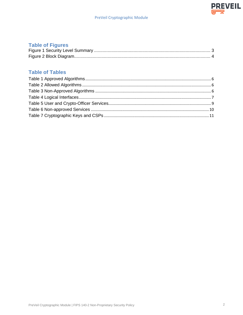## **Table of Figures**

# **Table of Tables**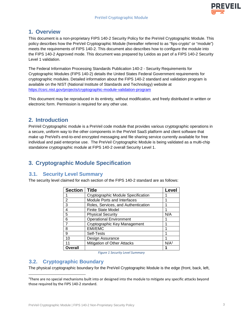

## **1. Overview**

This document is a non-proprietary FIPS 140-2 Security Policy for the PreVeil Cryptographic Module. This policy describes how the PreVeil Cryptographic Module (hereafter referred to as "fips-crypto" or "module") meets the requirements of FIPS 140-2. This document also describes how to configure the module into the FIPS 140-2 Approved mode. This document was prepared by Leidos as part of a FIPS 140-2 Security Level 1 validation.

The Federal Information Processing Standards Publication 140-2 - Security Requirements for Cryptographic Modules (FIPS 140-2) details the United States Federal Government requirements for cryptographic modules. Detailed information about the FIPS 140-2 standard and validation program is available on the NIST (National Institute of Standards and Technology) website at https://csrc.nist.gov/projects/cryptographic-module-validation-program

This document may be reproduced in its entirety, without modification, and freely distributed in written or electronic form. Permission is required for any other use.

## **2. Introduction**

PreVeil Cryptographic module is a PreVeil code module that provides various cryptographic operations in a secure, uniform way to the other components in the PreVeil SaaS platform and client software that make up PreVeil's end-to-end encrypted messaging and file sharing service currently available for free individual and paid enterprise use. The PreVeil Cryptographic Module is being validated as a multi-chip standalone cryptographic module at FIPS 140-2 overall Security Level 1.

# **3. Cryptographic Module Specification**

#### **3.1. Security Level Summary**

The security level claimed for each section of the FIPS 140-2 standard are as follows:

| <b>Section</b> | <b>Title</b>                        | Level            |
|----------------|-------------------------------------|------------------|
|                | Cryptographic Module Specification  |                  |
| 2              | <b>Module Ports and Interfaces</b>  |                  |
| 3              | Roles, Services, and Authentication |                  |
| 4              | Finite State Model                  |                  |
| 5              | <b>Physical Security</b>            | N/A              |
| 6              | <b>Operational Environment</b>      |                  |
| 7              | Cryptographic Key Management        |                  |
| 8              | <b>EMI/EMC</b>                      |                  |
| 9              | Self-Tests                          |                  |
| 10             | Design Assurance                    |                  |
| 11             | <b>Mitigation of Other Attacks</b>  | N/A <sup>1</sup> |
| Overall        |                                     |                  |

*Figure 1 Security Level Summary*

#### **3.2. Cryptographic Boundary**

The physical cryptographic boundary for the PreVeil Cryptographic Module is the edge (front, back, left,

<sup>&</sup>lt;sup>1</sup>There are no special mechanisms built into or designed into the module to mitigate any specific attacks beyond those required by the FIPS 140-2 standard.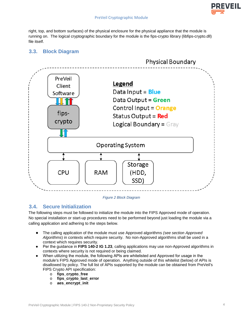

right, top, and bottom surfaces) of the physical enclosure for the physical appliance that the module is running on. The logical cryptographic boundary for the module is the fips-crypto library (libfips-crypto.dll) file itself.

## **3.3. Block Diagram**



#### *Figure 2 Block Diagram*

#### **3.4. Secure Initialization**

The following steps must be followed to initialize the module into the FIPS Approved mode of operation. No special installation or start-up procedures need to be performed beyond just loading the module via a calling application and adhering to the steps below.

- The calling application of the module must use Approved algorithms *(see section Approved Algorithms*) in contexts which require security. No non-Approved algorithms shall be used in a context which requires security.
- Per the guidance in FIPS 140-2 IG 1.23, calling applications may use non-Approved algorithms in contexts where security is not required or being claimed.
- When utilizing the module, the following APIs are whitelisted and Approved for usage in the module's FIPS Approved mode of operation. Anything outside of this whitelist (below) of APIs is disallowed by policy. The full list of APIs supported by the module can be obtained from PreVeil's FIPS Crypto API specification:
	- o **fips\_crypto\_free**
	- o **fips\_crypto\_last\_error**
	- o **aes\_encrypt\_init**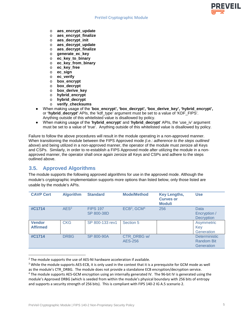- o **aes\_encrypt\_update**
- o **aes\_encrypt\_finalize**
- o **aes\_decrypt\_init**
- o **aes\_decrypt\_update**
- o **aes\_decrypt\_finalize**
- o **generate\_ec\_key**
- o **ec\_key\_to\_binary**
- o **ec\_key\_from\_binary**
- o **ec\_key\_free**
- o **ec\_sign**
- 
- o **ec\_verify**  box encrypt
- o **box\_decrypt**
- o **box\_derive\_key**
- o **hybrid\_encrypt**
- o **hybrid\_decrypt**
- o **verify\_checksums**
- When making usage of the '**box\_encrypt', 'box\_decrypt', 'box\_derive\_key', 'hybrid\_encrypt',**  or **'hybrid\_decrypt'** APIs, the 'kdf\_type' argument must be set to a value of 'KDF\_FIPS'. Anything outside of this whitelisted value is disallowed by policy.
- When making usage of the '**hybrid\_encrypt**' and '**hybrid\_decrypt**' APIs, the 'use\_iv' argument must be set to a value of 'true'. Anything outside of this whitelisted value is disallowed by policy.

Failure to follow the above procedures will result in the module operating in a non-approved manner. When transitioning the module between the FIPS Approved mode *(i.e.: adherence to the steps outlined above*) and being utilized in a non-approved manner, the operator of the module must zeroize all Keys and CSPs. Similarly, in order to re-establish a FIPS Approved mode after utilizing the module in a nonapproved manner, the operator shall once again zeroize all Keys and CSPs and adhere to the steps outlined above.

#### **3.5. Approved Algorithms**

The module supports the following approved algorithms for use in the approved mode. Although the module's cryptographic implementation supports more options than listed below, only those listed are usable by the module's APIs.

| <b>CAVP Cert</b>                 | <b>Algorithm</b> | <b>Standard</b>               | <b>Mode/Method</b>                  | <b>Key Lengths,</b><br><b>Curves or</b><br><b>Moduli</b> | <b>Use</b>                                              |
|----------------------------------|------------------|-------------------------------|-------------------------------------|----------------------------------------------------------|---------------------------------------------------------|
| #C1714                           | AES <sup>2</sup> | <b>FIPS 197</b><br>SP 800-38D | ECB <sup>3</sup> , GCM <sup>4</sup> | 256                                                      | Data<br>Encryption /<br><b>Decryption</b>               |
| <b>Vendor</b><br><b>Affirmed</b> | <b>CKG</b>       | SP 800-133 rev1               | Section 5                           |                                                          | Asymmetric<br>Key<br>Generation                         |
| #C1714                           | <b>DRBG</b>      | SP 800-90A                    | CTR DRBG w/<br>AES-256              |                                                          | <b>Deterministic</b><br><b>Random Bit</b><br>Generation |

 $2$  The module supports the use of AES-NI hardware acceleration if available.

**PREVEIL** 

<sup>&</sup>lt;sup>3</sup> While the module supports AES-ECB, it is only used in the context that it is a prerequisite for GCM mode as well as the module's CTR\_DRBG. The module does not provide a standalone ECB encryption/decryption service. 4 The module supports AES-GCM encryption using an internally generated IV. The 96-bit IV is generated using the

module's Approved DRBG (which is seeded from within the module's physical boundary with 256 bits of entropy and supports a security strength of 256 bits). This is compliant with FIPS 140-2 IG A.5 scenario 2.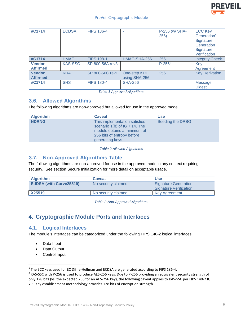

| #C1714                           | <b>ECDSA</b>   | <b>FIPS 186-4</b> |                               | P-256 (w/ SHA-<br>256) | <b>ECC Key</b><br>Generation <sup>5</sup><br>Signature<br>Generation<br>Signature<br>Verification |
|----------------------------------|----------------|-------------------|-------------------------------|------------------------|---------------------------------------------------------------------------------------------------|
| #C1714                           | <b>HMAC</b>    | <b>FIPS 198-1</b> | HMAC-SHA-256                  | 256                    | <b>Integrity Check</b>                                                                            |
| <b>Vendor</b><br><b>Affirmed</b> | <b>KAS-SSC</b> | SP 800-56A rev3   |                               | $P-256^6$              | Key<br>Agreement                                                                                  |
| <b>Vendor</b><br><b>Affirmed</b> | <b>KDA</b>     | SP 800-56C rev1   | One-step KDF<br>using SHA-256 | 256                    | <b>Key Derivation</b>                                                                             |
| #C1714                           | <b>SHS</b>     | <b>FIPS 180-4</b> | <b>SHA-256</b>                |                        | Message<br><b>Digest</b>                                                                          |

*Table 1 Approved Algorithms* 

#### **3.6. Allowed Algorithms**

The following algorithms are non-approved but allowed for use in the approved mode.

| <b>Algorithm</b> | <b>Caveat</b>                                                                                                                                   | <b>Use</b>       |
|------------------|-------------------------------------------------------------------------------------------------------------------------------------------------|------------------|
| <b>NDRNG</b>     | This implementation satisfies<br>scenario 1(b) of IG 7.14. The<br>module obtains a minimum of<br>256 bits of entropy before<br>generating keys. | Seeding the DRBG |

*Table 2 Allowed Algorithms* 

#### **3.7. Non-Approved Algorithms Table**

The following algorithms are non-approved for use in the approved mode in any context requiring security. See section Secure Initialization for more detail on acceptable usage.

| <b>Algorithm</b>               | <b>Caveat</b>       | Use                           |
|--------------------------------|---------------------|-------------------------------|
| <b>EdDSA (with Curve25519)</b> | No security claimed | <b>Signature Generation</b>   |
|                                |                     | <b>Signature Verification</b> |
| X25519                         | No security claimed | <b>Key Agreement</b>          |

*Table 3 Non-Approved Algorithms* 

# **4. Cryptographic Module Ports and Interfaces**

#### **4.1. Logical Interfaces**

The module's interfaces can be categorized under the following FIPS 140-2 logical interfaces.

- Data Input
- Data Output
- Control Input

<sup>&</sup>lt;sup>5</sup> The ECC keys used for EC Diffie-Hellman and ECDSA are generated according to FIPS 186-4.

<sup>&</sup>lt;sup>6</sup> KAS-SSC with P-256 is used to produce AES-256 keys. Due to P-256 providing an equivalent security strength of only 128 bits (vs. the expected 256 for an AES-256 key), the following caveat applies to KAS-SSC per FIPS 140-2 IG 7.5: Key establishment methodology provides 128 bits of encryption strength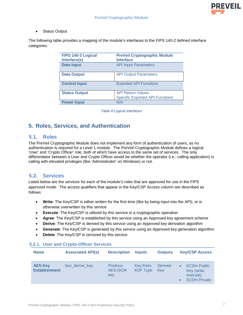Status Output

The following table provides a mapping of the module's interfaces to the FIPS 140-2 defined interface categories.

| FIPS 140-2 Logical<br>Interface(s) | <b>PreVeil Cryptographic Module</b><br><b>Interface</b> |
|------------------------------------|---------------------------------------------------------|
| <b>Data Input</b>                  | <b>API Input Parameters</b>                             |
| <b>Data Output</b>                 | <b>API Output Parameters</b>                            |
| <b>Control Input</b>               | <b>Exported API Functions</b>                           |
| <b>Status Output</b>               | <b>API Return Values</b>                                |
|                                    | <b>Specific Exported API Functions</b>                  |
| <b>Power Input</b>                 | N/A                                                     |

*Table 4 Logical Interfaces* 

# **5. Roles, Services, and Authentication**

#### **5.1. Roles**

The PreVeil Cryptographic Module does not implement any form of authentication of users, as no authentication is required for a Level 1 module. The PreVeil Cryptographic Module defines a logical 'User' and 'Crypto Officer' role, both of which have access to the same set of services. The only differentiator between a User and Crypto Officer would be whether the operator (i.e.: calling application) is calling with elevated privileges (like 'Administrator' on Windows) or not.

#### **5.2. Services**

Listed below are the services for each of the module's roles that are approved for use in the FIPS approved mode. The access qualifiers that appear in the Key/CSP Access column are described as follows:

- **Write**: The Key/CSP is either written for the first time (like by being input into the API), or is otherwise overwritten by this service
- **Execute**: The Key/CSP is utilized by this service in a cryptographic operation
- **Agree**: The Key/CSP is established by this service using an Approved key agreement scheme
- **Derive**: The Key/CSP is derived by this service using an Approved key derivation algorithm
- **Generate**: The Key/CSP is generated by this service using an Approved key generation algorithm
- **Delete**: The Key/CSP is zeroized by this service

#### **5.2.1. User and Crypto-Officer Services**

| <b>Name</b>                            | <b>Associated API(s)</b> | <b>Description</b>        | <b>Inputs</b>                       | <b>Outputs</b>        | <b>Key/CSP Access</b>                                                |
|----------------------------------------|--------------------------|---------------------------|-------------------------------------|-----------------------|----------------------------------------------------------------------|
| <b>AES Key</b><br><b>Establishment</b> | box_derive_key           | Produce<br>AES-GCM<br>key | <b>Key Pairs</b><br><b>KDF Type</b> | <b>Derived</b><br>Kev | <b>ECDH Public</b><br>Key (write,<br>execute)<br><b>ECDH Private</b> |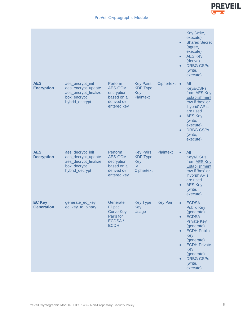

|                                    |                                                                                                 |                                                                                       |                                                                       |                  | $\bullet$<br>$\bullet$<br>$\bullet$                           | Key (write,<br>execute)<br><b>Shared Secret</b><br>(agree,<br>execute)<br><b>AES Key</b><br>(derive)<br><b>DRBG CSPs</b><br>(write,<br>execute)                                                                                       |
|------------------------------------|-------------------------------------------------------------------------------------------------|---------------------------------------------------------------------------------------|-----------------------------------------------------------------------|------------------|---------------------------------------------------------------|---------------------------------------------------------------------------------------------------------------------------------------------------------------------------------------------------------------------------------------|
| <b>AES</b><br><b>Encryption</b>    | aes_encrypt_init<br>aes_encrypt_update<br>aes_encrypt_finalize<br>box_encrypt<br>hybrid_encrypt | Perform<br><b>AES-GCM</b><br>encryption<br>based on a<br>derived or<br>entered key    | <b>Key Pairs</b><br><b>KDF Type</b><br>Key<br><b>Plaintext</b>        | Ciphertext •     | $\bullet$<br>$\bullet$                                        | All<br><b>Keys/CSPs</b><br>from AES Key<br><b>Establishment</b><br>row if 'box' or<br>'hybrid' APIs<br>are used<br><b>AES Key</b><br>(write,<br>execute)<br><b>DRBG CSPs</b><br>(write,<br>execute)                                   |
| <b>AES</b><br><b>Decryption</b>    | aes_decrypt_init<br>aes_decrypt_update<br>aes_decrypt_finalize<br>box_decrypt<br>hybrid_decrypt | Perform<br><b>AES-GCM</b><br>decryption<br>based on a<br>derived or<br>entered key    | <b>Key Pairs</b><br><b>KDF Type</b><br>Key<br>IV<br><b>Ciphertext</b> | <b>Plaintext</b> | $\bullet$<br>$\bullet$                                        | All<br><b>Keys/CSPs</b><br>from AES Key<br><b>Establishment</b><br>row if 'box' or<br>'hybrid' APIs<br>are used<br><b>AES Key</b><br>(write,<br>execute)                                                                              |
| <b>EC Key</b><br><b>Generation</b> | generate_ec_key<br>ec_key_to_binary                                                             | Generate<br><b>Elliptic</b><br><b>Curve Key</b><br>Pairs for<br>ECDSA/<br><b>ECDH</b> | <b>Key Type</b><br>Key<br><b>Usage</b>                                | <b>Key Pair</b>  | $\bullet$<br>$\bullet$<br>$\bullet$<br>$\bullet$<br>$\bullet$ | <b>ECDSA</b><br><b>Public Key</b><br>(generate)<br><b>ECDSA</b><br><b>Private Key</b><br>(generate)<br><b>ECDH Public</b><br>Key<br>(generate)<br><b>ECDH Private</b><br>Key<br>(generate)<br><b>DRBG CSPs</b><br>(write,<br>execute) |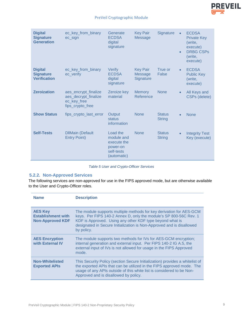

| <b>Digital</b><br><b>Signature</b><br><b>Generation</b>   | ec_key_from_binary<br>ec_sign                                                   | Generate<br><b>ECDSA</b><br>digital<br>signature                               | <b>Key Pair</b><br><b>Message</b>       | <b>Signature</b>               | $\bullet$<br>$\bullet$ | <b>ECDSA</b><br><b>Private Key</b><br>(write,<br>execute)<br><b>DRBG CSPs</b><br>(write,<br>execute) |
|-----------------------------------------------------------|---------------------------------------------------------------------------------|--------------------------------------------------------------------------------|-----------------------------------------|--------------------------------|------------------------|------------------------------------------------------------------------------------------------------|
| <b>Digital</b><br><b>Signature</b><br><b>Verification</b> | ec_key_from_binary<br>ec verify                                                 | Verify<br><b>ECDSA</b><br>digital<br>signature                                 | <b>Key Pair</b><br>Message<br>Signature | True or<br>False               | $\bullet$              | <b>ECDSA</b><br><b>Public Key</b><br>(write,<br>execute)                                             |
| <b>Zeroization</b>                                        | aes_encrypt_finalize<br>aes_decrypt_finalize<br>ec_key_free<br>fips_crypto_free | Zeroize key<br>material                                                        | <b>Memory</b><br>Reference              | <b>None</b>                    | $\bullet$              | All Keys and<br><b>CSPs (delete)</b>                                                                 |
| <b>Show Status</b>                                        | fips_crypto_last_error                                                          | Output<br><b>status</b><br>information                                         | <b>None</b>                             | <b>Status</b><br><b>String</b> | $\bullet$              | <b>None</b>                                                                                          |
| <b>Self-Tests</b>                                         | <b>DIIMain (Default</b><br><b>Entry Point)</b>                                  | Load the<br>module and<br>execute the<br>power-on<br>self-tests<br>(automatic) | <b>None</b>                             | <b>Status</b><br><b>String</b> | $\bullet$              | <b>Integrity Test</b><br>Key (execute)                                                               |

#### *Table 5 User and Crypto-Officer Services*

#### **5.2.2. Non-Approved Services**

The following services are non-approved for use in the FIPS approved mode, but are otherwise available to the User and Crypto-Officer roles.

| <b>Name</b>                                                            | <b>Description</b>                                                                                                                                                                                                                                                                          |
|------------------------------------------------------------------------|---------------------------------------------------------------------------------------------------------------------------------------------------------------------------------------------------------------------------------------------------------------------------------------------|
| <b>AES Key</b><br><b>Establishment with</b><br><b>Non-Approved KDF</b> | The module supports multiple methods for key derivation for AES-GCM<br>keys. Per FIPS 140-2 Annex D, only the module's SP 800-56C Rev. 1<br>KDF is Approved. Using any other KDF type beyond what is<br>designated in Secure Initialization is Non-Approved and is disallowed<br>by policy. |
| <b>AES Encryption</b><br>with External IV                              | The module supports two methods for IVs for AES-GCM encryption;<br>internal generation and external input. Per FIPS 140-2 IG A.5, the<br>external input of IVs is not allowed for usage in the FIPS Approved<br>mode.                                                                       |
| <b>Non-Whitelisted</b><br><b>Exported APIs</b>                         | This Security Policy (section Secure Initialization) provides a whitelist of<br>the exported APIs that can be utilized in the FIPS approved mode. The<br>usage of any APIs outside of this white list is considered to be Non-<br>Approved and is disallowed by policy.                     |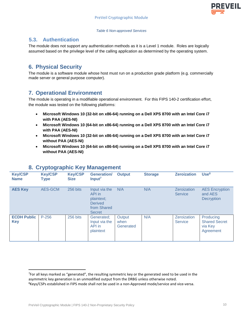

#### *Table 6 Non-approved Services*

#### **5.3. Authentication**

The module does not support any authentication methods as it is a Level 1 module. Roles are logically assumed based on the privilege level of the calling application as determined by the operating system.

## **6. Physical Security**

The module is a software module whose host must run on a production grade platform (e.g. commercially made server or general purpose computer).

## **7. Operational Environment**

The module is operating in a modifiable operational environment. For this FIPS 140-2 certification effort, the module was tested on the following platforms:

- **Microsoft Windows 10 (32-bit on x86-64) running on a Dell XPS 8700 with an Intel Core i7 with PAA (AES-NI)**
- **Microsoft Windows 10 (64-bit on x86-64) running on a Dell XPS 8700 with an Intel Core i7 with PAA (AES-NI)**
- **Microsoft Windows 10 (32-bit on x86-64) running on a Dell XPS 8700 with an Intel Core i7 without PAA (AES-NI)**
- **Microsoft Windows 10 (64-bit on x86-64) running on a Dell XPS 8700 with an Intel Core i7 without PAA (AES-NI)**

|                                  | . .                    |                               | ີ                                                                                       |                             |                |                               |                                                           |
|----------------------------------|------------------------|-------------------------------|-----------------------------------------------------------------------------------------|-----------------------------|----------------|-------------------------------|-----------------------------------------------------------|
| <b>Key/CSP</b><br><b>Name</b>    | <b>Key/CSP</b><br>Type | <b>Key/CSP</b><br><b>Size</b> | <b>Generation/</b><br>Input <sup>7</sup>                                                | <b>Output</b>               | <b>Storage</b> | <b>Zeroization</b>            | Use <sup>8</sup>                                          |
| <b>AES Key</b>                   | AES-GCM                | 256 bits                      | Input via the<br>API in<br>plaintext;<br><b>Derived</b><br>from Shared<br><b>Secret</b> | N/A                         | N/A            | Zeroization<br><b>Service</b> | <b>AES Encryption</b><br>and AES<br>Decryption            |
| <b>ECDH Public</b><br><b>Key</b> | $P-256$                | 256 bits                      | Generated;<br>Input via the<br>API in<br>plaintext                                      | Output<br>when<br>Generated | N/A            | Zeroization<br><b>Service</b> | Producing<br><b>Shared Secret</b><br>via Key<br>Agreement |

#### **8. Cryptographic Key Management**

<sup>7</sup> For all keys marked as "generated", the resulting symmetric key or the generated seed to be used in the asymmetric key generation is an unmodified output from the DRBG unless otherwise noted.

<sup>&</sup>lt;sup>8</sup>Keys/CSPs established in FIPS mode shall not be used in a non-Approved mode/service and vice-versa.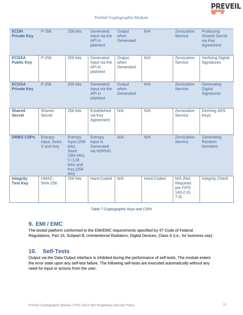

| <b>ECDH</b><br><b>Private Key</b>   | $P-256$                              | 256 bits                                                                                                          | Generated;<br>Input via the<br>API in<br>plaintext | Output<br>when<br>Generated | N/A               | Zeroization<br><b>Service</b>                        | Producing<br><b>Shared Secret</b><br>via Key<br>Agreement |
|-------------------------------------|--------------------------------------|-------------------------------------------------------------------------------------------------------------------|----------------------------------------------------|-----------------------------|-------------------|------------------------------------------------------|-----------------------------------------------------------|
| <b>ECDSA</b><br><b>Public Key</b>   | $P-256$                              | 256 bits                                                                                                          | Generated;<br>Input via the<br>API in<br>plaintext | Output<br>when<br>Generated | N/A               | Zeroization<br><b>Service</b>                        | <b>Verifying Digital</b><br><b>Signatures</b>             |
| <b>ECDSA</b><br><b>Private Key</b>  | $P-256$                              | 256 bits                                                                                                          | Generated;<br>Input via the<br>API in<br>plaintext | Output<br>when<br>Generated | N/A               | Zeroization<br><b>Service</b>                        | Generating<br><b>Digital</b><br><b>Signatures</b>         |
| <b>Shared</b><br><b>Secret</b>      | <b>Shared</b><br><b>Secret</b>       | 256 bits                                                                                                          | <b>Established</b><br>via Key<br>Agreement         | N/A                         | N/A               | Zeroization<br><b>Service</b>                        | <b>Deriving AES</b><br><b>Keys</b>                        |
| <b>DRBG CSPs</b>                    | Entropy<br>Input, Seed,<br>V and Key | Entropy<br>Input (256<br>bits),<br><b>Seed</b><br>(384 bits),<br>V(128)<br>bits) and<br><b>Key (256)</b><br>bits) | Entropy<br>Input is<br>Generated<br>via NDRNG      | N/A                         | N/A               | Zeroization<br><b>Service</b>                        | Generating<br>Random<br><b>Numbers</b>                    |
| <b>Integrity</b><br><b>Test Key</b> | HMAC-<br><b>SHA-256</b>              | 256 bits                                                                                                          | <b>Hard-Coded</b>                                  | N/A                         | <b>Hard-Coded</b> | N/A (Not<br>Required<br>per FIPS<br>140-2 IG<br>7.4) | <b>Integrity Check</b>                                    |

*Table 7 Cryptographic Keys and CSPs* 

#### **9. EMI / EMC**

The tested platform conformed to the EMI/EMC requirements specified by 47 Code of Federal Regulations, Part 15, Subpart B, Unintentional Radiators, Digital Devices, Class A (i.e., for business use).

#### **10. Self-Tests**

Output via the Data Output interface is inhibited during the performance of self-tests. The module enters the error state upon any self-test failure. The following self-tests are executed automatically without any need for input or actions from the user.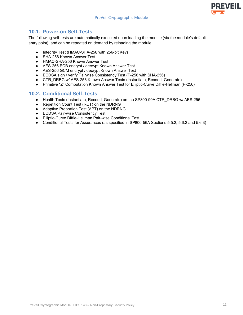### **10.1. Power-on Self-Tests**

The following self-tests are automatically executed upon loading the module (via the module's default entry point), and can be repeated on demand by reloading the module:

- Integrity Test (HMAC-SHA-256 with 256-bit Key)
- SHA-256 Known Answer Test
- HMAC-SHA-256 Known Answer Test
- AES-256 ECB encrypt / decrypt Known Answer Test
- AES-256 GCM encrypt / decrypt Known Answer Test
- ECDSA sign / verify Pairwise Consistency Test (P-256 with SHA-256)
- CTR\_DRBG w/ AES-256 Known Answer Tests (Instantiate, Reseed, Generate)
- Primitive "Z" Computation Known Answer Test for Elliptic-Curve Diffie-Hellman (P-256)

#### **10.2. Conditional Self-Tests**

- Health Tests (Instantiate, Reseed, Generate) on the SP800-90A CTR\_DRBG w/ AES-256
- Repetition Count Test (RCT) on the NDRNG
- Adaptive Proportion Test (APT) on the NDRNG
- ECDSA Pair-wise Consistency Test
- Elliptic-Curve Diffie-Hellman Pair-wise Conditional Test
- Conditional Tests for Assurances (as specified in SP800-56A Sections 5.5.2, 5.6.2 and 5.6.3)